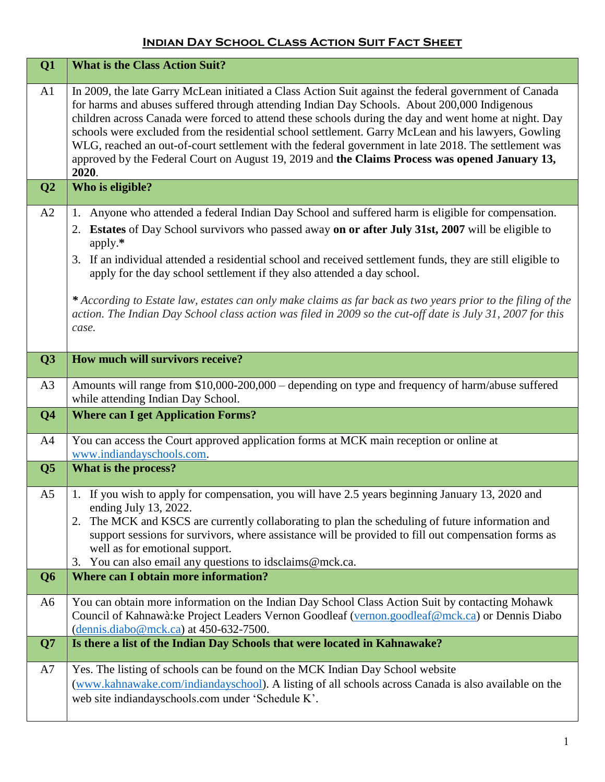## **Indian Day School Class Action Suit Fact Sheet**

| Q1                      | <b>What is the Class Action Suit?</b>                                                                                                                                                                                                                                                                                                                                                                                                                                                                                                                                                                                                                     |
|-------------------------|-----------------------------------------------------------------------------------------------------------------------------------------------------------------------------------------------------------------------------------------------------------------------------------------------------------------------------------------------------------------------------------------------------------------------------------------------------------------------------------------------------------------------------------------------------------------------------------------------------------------------------------------------------------|
| A1                      | In 2009, the late Garry McLean initiated a Class Action Suit against the federal government of Canada<br>for harms and abuses suffered through attending Indian Day Schools. About 200,000 Indigenous<br>children across Canada were forced to attend these schools during the day and went home at night. Day<br>schools were excluded from the residential school settlement. Garry McLean and his lawyers, Gowling<br>WLG, reached an out-of-court settlement with the federal government in late 2018. The settlement was<br>approved by the Federal Court on August 19, 2019 and the Claims Process was opened January 13,<br>2020.                  |
| Q <sub>2</sub>          | Who is eligible?                                                                                                                                                                                                                                                                                                                                                                                                                                                                                                                                                                                                                                          |
| A2                      | Anyone who attended a federal Indian Day School and suffered harm is eligible for compensation.<br>1.<br>Estates of Day School survivors who passed away on or after July 31st, 2007 will be eligible to<br>2.<br>apply.*<br>3. If an individual attended a residential school and received settlement funds, they are still eligible to<br>apply for the day school settlement if they also attended a day school.<br>* According to Estate law, estates can only make claims as far back as two years prior to the filing of the<br>action. The Indian Day School class action was filed in 2009 so the cut-off date is July 31, 2007 for this<br>case. |
| Q3                      | How much will survivors receive?                                                                                                                                                                                                                                                                                                                                                                                                                                                                                                                                                                                                                          |
| A3                      | Amounts will range from \$10,000-200,000 - depending on type and frequency of harm/abuse suffered<br>while attending Indian Day School.                                                                                                                                                                                                                                                                                                                                                                                                                                                                                                                   |
| Q <sub>4</sub>          | <b>Where can I get Application Forms?</b>                                                                                                                                                                                                                                                                                                                                                                                                                                                                                                                                                                                                                 |
| A4                      | You can access the Court approved application forms at MCK main reception or online at<br>www.indiandayschools.com.                                                                                                                                                                                                                                                                                                                                                                                                                                                                                                                                       |
| $\overline{\mathbf{Q}}$ | What is the process?                                                                                                                                                                                                                                                                                                                                                                                                                                                                                                                                                                                                                                      |
| A <sub>5</sub>          | 1. If you wish to apply for compensation, you will have 2.5 years beginning January 13, 2020 and<br>ending July 13, 2022.<br>The MCK and KSCS are currently collaborating to plan the scheduling of future information and<br>2.<br>support sessions for survivors, where assistance will be provided to fill out compensation forms as<br>well as for emotional support.<br>You can also email any questions to idsclaims@mck.ca.<br>3.                                                                                                                                                                                                                  |
| Q <sub>6</sub>          | <b>Where can I obtain more information?</b>                                                                                                                                                                                                                                                                                                                                                                                                                                                                                                                                                                                                               |
| A6                      | You can obtain more information on the Indian Day School Class Action Suit by contacting Mohawk<br>Council of Kahnawà: ke Project Leaders Vernon Goodleaf (vernon.goodleaf@mck.ca) or Dennis Diabo<br>$(dennis.diabo@mck.ca)$ at 450-632-7500.                                                                                                                                                                                                                                                                                                                                                                                                            |
| Q7                      | Is there a list of the Indian Day Schools that were located in Kahnawake?                                                                                                                                                                                                                                                                                                                                                                                                                                                                                                                                                                                 |
| A7                      | Yes. The listing of schools can be found on the MCK Indian Day School website<br>(www.kahnawake.com/indiandayschool). A listing of all schools across Canada is also available on the<br>web site indiandayschools.com under 'Schedule K'.                                                                                                                                                                                                                                                                                                                                                                                                                |